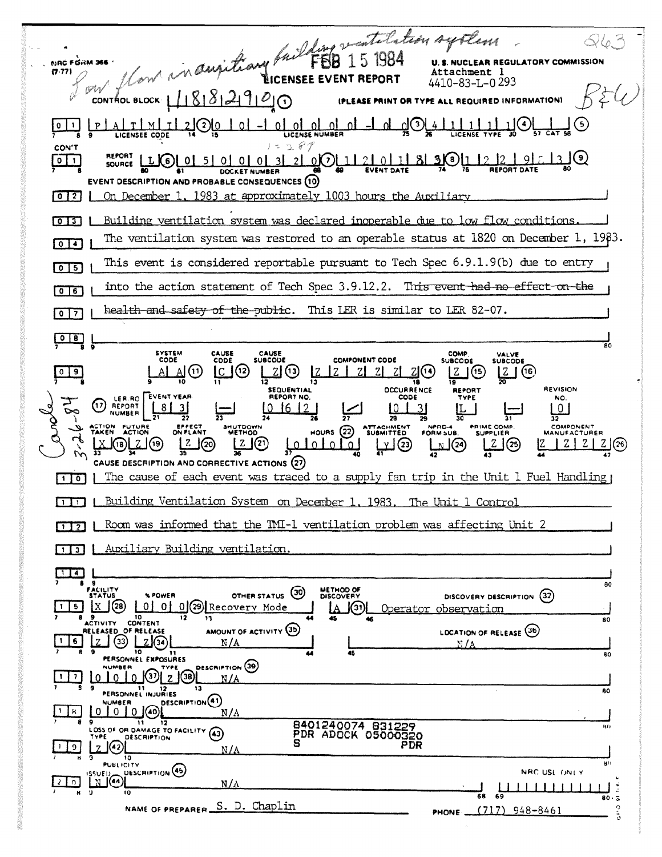flow in augition fuillet de 15 1984 046.3 **U. S. NUCLEAR REGULATORY COMMISSION NRC FORM 366**  $(7.77)$ Attachment 1  $\mathscr{A}'$ 4410-83-L-0 293  $\sim$  CONTROL BLOCK  $11818121910$ (PLEASE PRINT OR TYPE ALL REQUIRED INFORMATION)  $A[TMII]$ <u>21 (2) (0)</u> o Lol ol ol ol  $P$  $\perp$  ol  $\mathcal{S}$ <u>ΩΙ</u> LICENSE NUMBER LICENSEE CODE  $287$ CON'T **REPORT**  $\sqrt{2}$  $_0$ (2)  $1121011$ <u> 310 Li</u>  $\frac{1}{2}$   $\frac{1}{2}$ -9 I 7316)  $\boxed{0}$  $LI(6)$  $5|0|0|0|$  $\overline{3}$ SOURCE **EVENT DATE DOCKET NUMBE** EVENT DESCRIPTION AND PROBABLE CONSEQUENCES (10) 1983 at approximately 1003 hours the Auxiliary  $\sqrt{0}$   $\sqrt{2}$ <u>On December 1</u> Building ventilation system was declared inoperable due to low flow conditions. The ventilation system was restored to an operable status at 1820 on December 1,  $1983$ .  $\sqrt{2}$ This event is considered reportable pursuant to Tech Spec 6.9.1.9(b) due to entry  $\boxed{0}$  5 into the action statement of Tech Spec 3.9.12.2. This event had no effect on the  $\sqrt{25}$ health and safety of the public. This LER is similar to LER 82-07.  $\sqrt{27}$  $\boxed{0}$   $\boxed{8}$ **SYSTEM** CAUSE<br>SUBCODE CAUSE COMP VALVE<br>SUBCODE CODE CODE **COMPONENT CODE SUBCODE** IC 1(12)  $\boxed{2}$   $(6)$  $\mathrm{Al}(\mathrm{1})$ <u>ZJ</u> (13) <u> Z J(ල</u>  $0$  | 9 Al LZ ZI ZI.  $Z$ <sup>(14)</sup>  $\overline{\mathbf{1}}$ **SEQUENTIAL OCCURRENCE REVISION REPORT** LER.RO EVENT YEAR REPORT NO CODE NO.  $\left( \overline{v}\right)$  $\overline{10}$ REPORT -8 I 10 16 12 L0  $\overline{\mathbf{3}}$ 31 **NUMBER** 35 28 COMPONENT<br>MANUFACTURER ATTACHMENT NPRD-4<br>FORM SUB. PRIME COMP.<br>SUPPLIER CTION FUTURE<br>AKEN ACTION SHUTDOWN<br>METHOD HOURS  $(22)$ <u>La Lorge</u> <mark>ரிர்</mark>தி<br>மர்  $\mathfrak{u}$ <u>၊ ႗</u>၂၈ <u>Z</u> (20)  $LZ(25)$  $|Z|Z|Z|$ كالتلا 늋 CAUSE DESCRIPTION AND CORRECTIVE ACTIONS (27) The cause of each event was traced to a supply fan trip in the Unit 1 Fuel Handling  $\blacksquare$ Building Ventilation System on December 1, 1983. The Unit 1 Control  $\Box$ Room was informed that the IMI-1 ventilation problem was affecting Unit 2  $\Box$ [1] ] | Auxiliary Building ventilation  $114$  $RO$ FACILITY<br>STATUS METHOD OF OTHER STATUS (30) **\* POWER** DISCOVERY DESCRIPTION (32)  $X$  (28) 0 0 0 0 29 Recovery Mode  $1$  5  $\mathbf{A}$ (31) Operator observation **9** 10<br>ACTIVITY CONTENT 12 80 AMOUNT OF ACTIVITY (35) RELEASED OF RELEASE LOCATION OF RELEASE (36) 6  $(33)$  $L20$ N / A 10 11<br>PERSONNEL EXPOSURES 80 DESCRIPTION (39) NUMBER **TYPE**  $\overline{\mathbb{D}}$   $\overline{\mathbb{D}}$   $\overline{\mathbb{D}}$   $\overline{\mathbb{D}}$  $|1|$  $\Omega$ l 0 <u>N/A</u> PERSONNEL INJURIES 13 80 DESCRIPTION(41) **IUMAER**  $|1|$  R  $0 0 0$  (40)  $N/A$ 8401240074 831229<br>PDR ADOCK 05000320  $\overline{\mathbf{u}}$ 9<br>LOSS OF OR DAMAGE TO FACILITY (43)  $12$ **DESCRIPTION** ÌЯ, PDR  $\sqrt{(42)}$ 9.  $N/A$ īō **PUBLICITY** DESCRIPTION<sup>(45)</sup> NRC USE ONLY ി 1  $N/A$  $\begin{picture}(20,20) \put(0,0){\line(1,0){10}} \put(10,0){\line(1,0){10}} \put(10,0){\line(1,0){10}} \put(10,0){\line(1,0){10}} \put(10,0){\line(1,0){10}} \put(10,0){\line(1,0){10}} \put(10,0){\line(1,0){10}} \put(10,0){\line(1,0){10}} \put(10,0){\line(1,0){10}} \put(10,0){\line(1,0){10}} \put(10,0){\line(1,0){10}} \put(10,0){\line(1$ Б NAME OF PREPARER S. D. Chaplin  $(717)$  948-8461 PHONE \_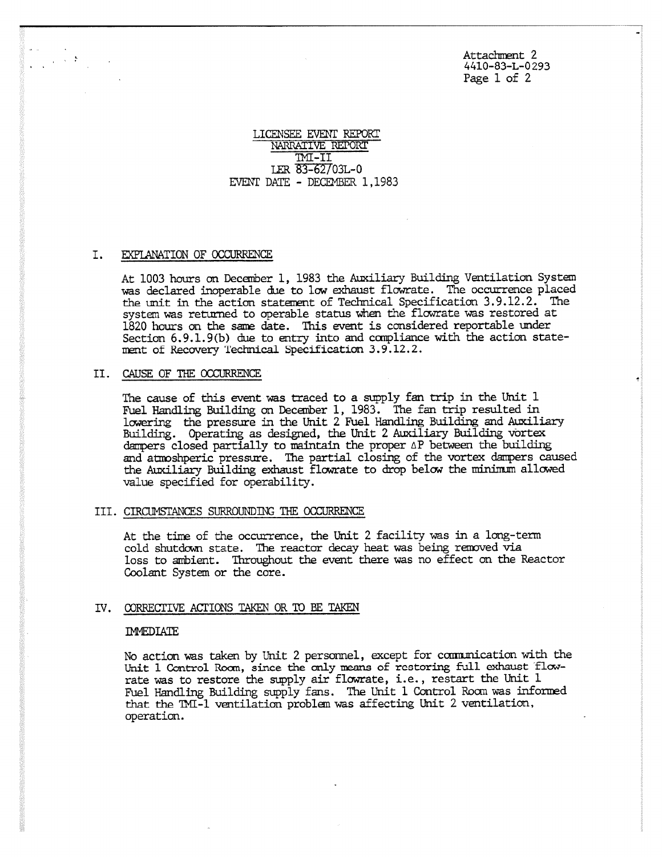Attachment 2 4410-83-L-0293 Page 1 of 2

## LICENSEE EVENT REPORT NARRATIVE REPORT INT-II LER 83-62/03L-0 EVENT DATE - DECEMBER 1,1983

### I. EXPLANATION OF OCCURRENCE

At 1003 hours an December 1, 1983 the Auxiliary Building Ventilation System was declared inoperable due to *low* exhaust flowrate. The occurrence placed the unit in the action statement of Technical Specification 3.9.12.2. The system was returned to operable status when the flowrate was restored at 1820 hours on the same date. This event is considered reportable under Section  $6.9.1.9(b)$  due to entry into and compliance with the action statement of Recovery Technical Specification 3.9.12.2.

### II. CAUSE OF THE OCCURRENCE

The cause of this event was traced to a supply fan trip in the Unit 1 Fuel Handling Building on December 1, 1983. The fan trip resulted in lowering the pressure in the Unit 2 Fuel Handling Building and Auxiliary Building. Operating as designed, the Unit 2 Auxiliary Building vortex dampers closed partially to maintain the proper AP between the building and atmoshperic pressure. The partial closing of the vortex dampers caused the Auxiliary Building exhaust flowrate to drop below the minimum allowed value specified for operability.

# III. CIRCUMSTANCES SURROUNDING THE OCCURRENCE

At the time of the occurrence, the Unit 2 facility was in a long-term cold shutdown state. The reactor decay heat was being removed via loss to ambient. Throughout the event there was no effect on the Reactor Coolant System or the core.

### IV. CORRECTIVE ACTIONS TAKEN OR TO BE TAKEN

### IMMEDIATE

No action was taken by Unit 2 personnel, except for communication with the Unit 1 Control Rom, since the **only means** of restoring full exhaust flowrate was to restore the supply air flowrate, i.e., restart the Unit 1 Fuel Handling Building supply fans. The Unit 1 Control Room was informed that the TMI-1 ventilation problem was affecting Unit 2 ventilation, operation.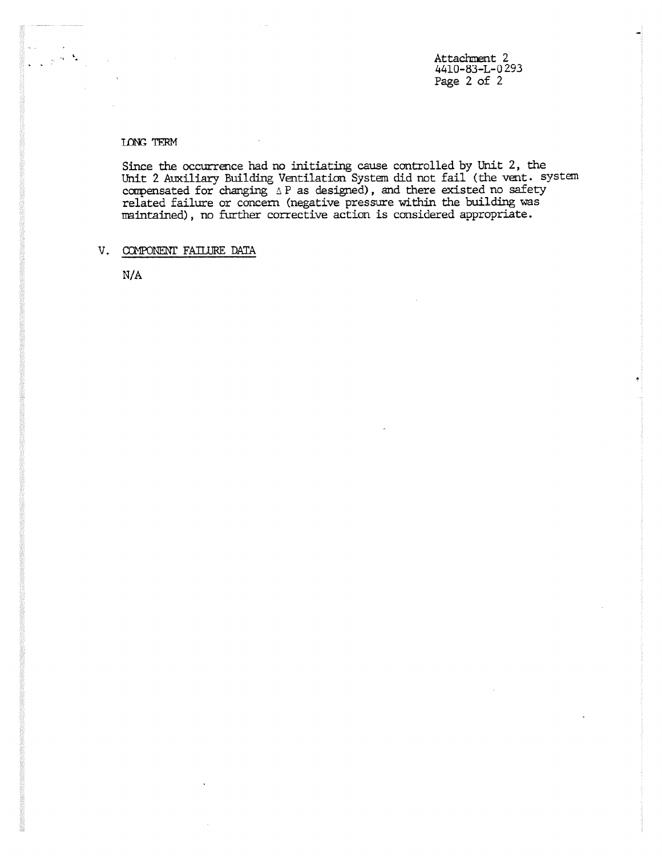Attachment 2 4410-83-L-0 293 Page 2 of 2

## LONG TERM

Since the occurrence had no initiating cause controlled by Unit 2, the Unit 2 Auxiliary Building Ventilation System did not fail (the vent, system compensated for changing  $\vartriangle$  P as designed), and there existed no safety related failure or concern (negative pressure within the building was maintained), no further corrective action is considered appropriate.

# V. COMPONENT FAILURE DATA

N/A